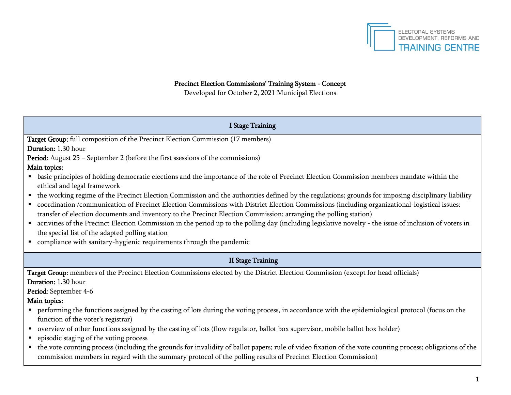

## Precinct Election Commissions' Training System - Concept

Developed for October 2, 2021 Municipal Elections

| <b>I Stage Training</b>                                                                                                                                                                                                                                                                                                                                                                                                    |
|----------------------------------------------------------------------------------------------------------------------------------------------------------------------------------------------------------------------------------------------------------------------------------------------------------------------------------------------------------------------------------------------------------------------------|
| Target Group: full composition of the Precinct Election Commission (17 members)                                                                                                                                                                                                                                                                                                                                            |
| Duration: 1.30 hour                                                                                                                                                                                                                                                                                                                                                                                                        |
| Period: August 25 - September 2 (before the first ssessions of the commissions)                                                                                                                                                                                                                                                                                                                                            |
| Main topics:                                                                                                                                                                                                                                                                                                                                                                                                               |
| basic principles of holding democratic elections and the importance of the role of Precinct Election Commission members mandate within the<br>٠<br>ethical and legal framework                                                                                                                                                                                                                                             |
| • the working regime of the Precinct Election Commission and the authorities defined by the regulations; grounds for imposing disciplinary liability<br>• coordination /communication of Precinct Election Commissions with District Election Commissions (including organizational-logistical issues:<br>transfer of election documents and inventory to the Precinct Election Commission; arranging the polling station) |
| activities of the Precinct Election Commission in the period up to the polling day (including legislative novelty - the issue of inclusion of voters in<br>the special list of the adapted polling station<br>• compliance with sanitary-hygienic requirements through the pandemic                                                                                                                                        |
| <b>II Stage Training</b>                                                                                                                                                                                                                                                                                                                                                                                                   |
| Target Group: members of the Precinct Election Commissions elected by the District Election Commission (except for head officials)                                                                                                                                                                                                                                                                                         |
| Duration: 1.30 hour                                                                                                                                                                                                                                                                                                                                                                                                        |
| Period: September 4-6                                                                                                                                                                                                                                                                                                                                                                                                      |
| Main topics:                                                                                                                                                                                                                                                                                                                                                                                                               |
| • performing the functions assigned by the casting of lots during the voting process, in accordance with the epidemiological protocol (focus on the<br>function of the voter's registrar)                                                                                                                                                                                                                                  |
| • overview of other functions assigned by the casting of lots (flow regulator, ballot box supervisor, mobile ballot box holder)                                                                                                                                                                                                                                                                                            |
| • episodic staging of the voting process                                                                                                                                                                                                                                                                                                                                                                                   |
| the vote counting process (including the grounds for invalidity of ballot papers; rule of video fixation of the vote counting process; obligations of the<br>commission members in regard with the summary protocol of the polling results of Precinct Election Commission)                                                                                                                                                |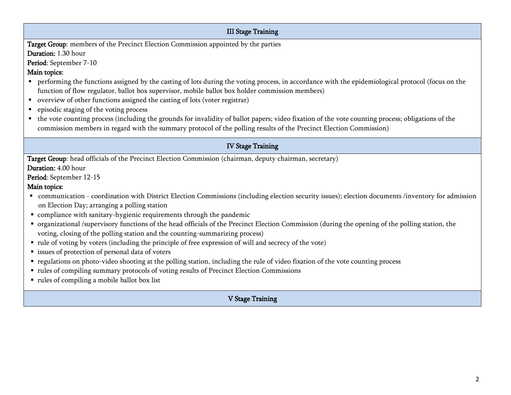## III Stage Training Target Group: members of the Precinct Election Commission appointed by the parties Duration: 1.30 hour Period: September 7-10 Main topics: **Performing the functions assigned by the casting of lots during the voting process, in accordance with the epidemiological protocol (focus on the** function of flow regulator, ballot box supervisor, mobile ballot box holder commission members) overview of other functions assigned the casting of lots (voter registrar) **•** episodic staging of the voting process the vote counting process (including the grounds for invalidity of ballot papers; video fixation of the vote counting process; obligations of the commission members in regard with the summary protocol of the polling results of the Precinct Election Commission) IV Stage Training Target Group: head officials of the Precinct Election Commission (chairman, deputy chairman, secretary) Duration: 4.00 hour Period: September 12-15 Main topics: communication - coordination with District Election Commissions (including election security issues); election documents /inventory for admission on Election Day; arranging a polling station compliance with sanitary-hygienic requirements through the pandemic organizational /supervisory functions of the head officials of the Precinct Election Commission (during the opening of the polling station, the voting, closing of the polling station and the counting-summarizing process) rule of voting by voters (including the principle of free expression of will and secrecy of the vote) **Exercise** issues of protection of personal data of voters regulations on photo-video shooting at the polling station, including the rule of video fixation of the vote counting process rules of compiling summary protocols of voting results of Precinct Election Commissions rules of compiling a mobile ballot box list V Stage Training